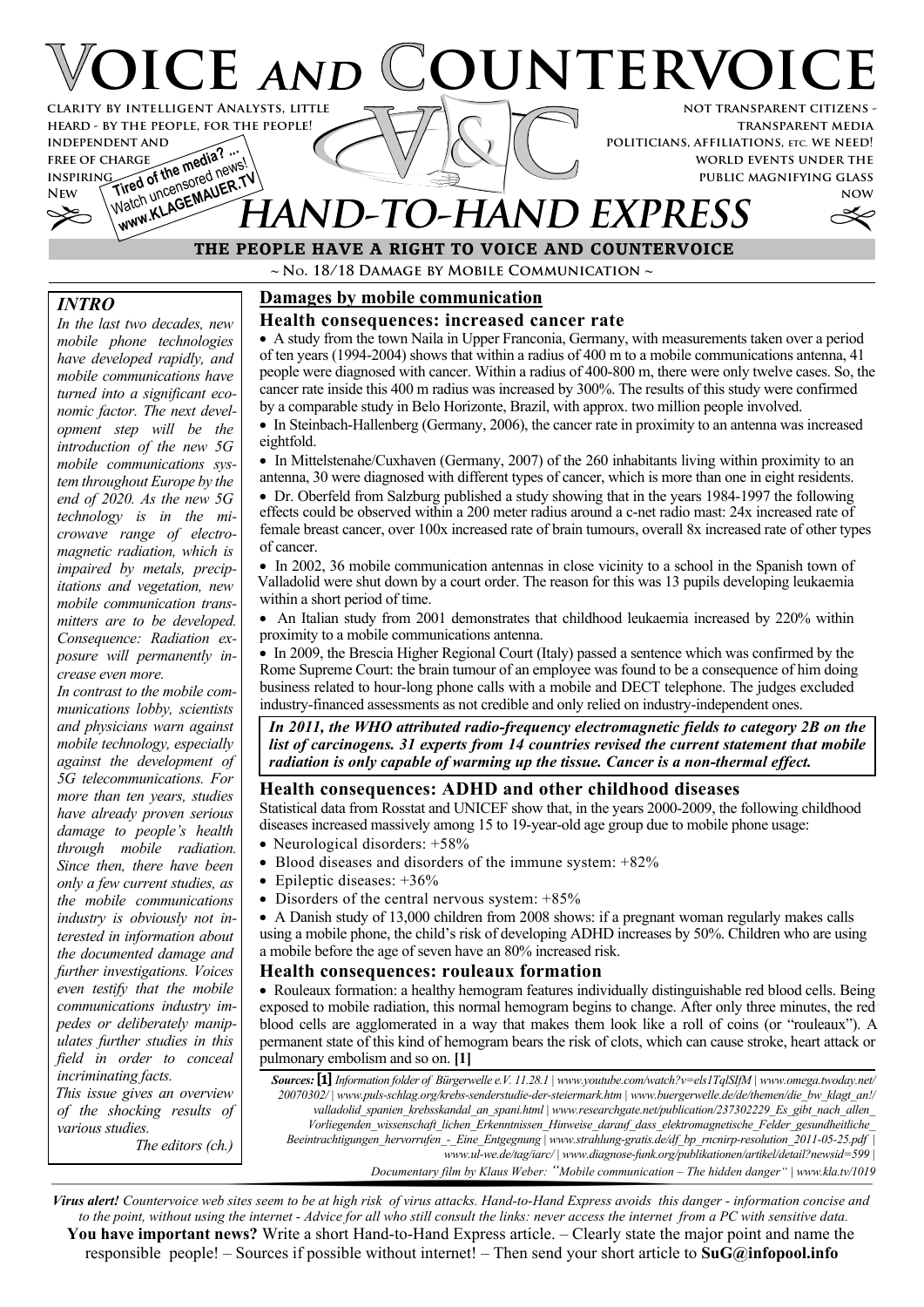# **OICE AND COUNTERVOIC not transparent citizens clarity by intelligent Analysts, little**

**transparent media politicians, affiliations, etc. we need! world events under the public magnifying glass**

**now**



# **THE PEOPLE HAVE A RIGHT TO VOICE AND COUNTERVOICE** Watch university Watch university of **HAND** EXPRESS

**~ No. 18/18 Damage by Mobile Communication ~**

# *INTRO*

**free of charge inspiring**

*In the last two decades, new mobile phone technologies have developed rapidly, and mobile communications have turned into a significant economic factor. The next development step will be the introduction of the new 5G mobile communications system throughout Europe by the end of 2020. As the new 5G technology is in the microwave range of electromagnetic radiation, which is impaired by metals, precipitations and vegetation, new mobile communication transmitters are to be developed. Consequence: Radiation exposure will permanently increase even more.*

**heard - by the people, for the people!**

**INDEPENDENT AND<br>FREE OF CHARGE<br>INSPIRING and of the media?** 

FREE OF CHARGE **the media?** ...

*In contrast to the mobile communications lobby, scientists and physicians warn against mobile technology, especially against the development of 5G telecommunications. For more than ten years, studies have already proven serious damage to people's health through mobile radiation. Since then, there have been only a few current studies, as the mobile communications industry is obviously not interested in information about the documented damage and further investigations. Voices even testify that the mobile communications industry impedes or deliberately manipulates further studies in this field in order to conceal incriminating facts. This issue gives an overview*

*of the shocking results of various studies.*

*The editors (ch.)*

# **Damages by mobile communication**

#### **Health consequences: increased cancer rate**

· A study from the town Naila in Upper Franconia, Germany, with measurements taken over a period of ten years (1994-2004) shows that within a radius of 400 m to a mobile communications antenna, 41 people were diagnosed with cancer. Within a radius of 400-800 m, there were only twelve cases. So, the cancer rate inside this 400 m radius was increased by 300%. The results of this study were confirmed by a comparable study in Belo Horizonte, Brazil, with approx. two million people involved.

· In Steinbach-Hallenberg (Germany, 2006), the cancer rate in proximity to an antenna was increased eightfold.

• In Mittelstenahe/Cuxhaven (Germany, 2007) of the 260 inhabitants living within proximity to an antenna, 30 were diagnosed with different types of cancer, which is more than one in eight residents.

· Dr. Oberfeld from Salzburg published a study showing that in the years 1984-1997 the following effects could be observed within a 200 meter radius around a c-net radio mast: 24x increased rate of female breast cancer, over 100x increased rate of brain tumours, overall 8x increased rate of other types of cancer.

· In 2002, 36 mobile communication antennas in close vicinity to a school in the Spanish town of Valladolid were shut down by a court order. The reason for this was 13 pupils developing leukaemia within a short period of time.

· An Italian study from 2001 demonstrates that childhood leukaemia increased by 220% within proximity to a mobile communications antenna.

· In 2009, the Brescia Higher Regional Court (Italy) passed a sentence which was confirmed by the Rome Supreme Court: the brain tumour of an employee was found to be a consequence of him doing business related to hour-long phone calls with a mobile and DECT telephone. The judges excluded industry-financed assessments as not credible and only relied on industry-independent ones.

*In 2011, the WHO attributed radio-frequency electromagnetic fields to category 2B on the list of carcinogens. 31 experts from 14 countries revised the current statement that mobile radiation is only capable of warming up the tissue. Cancer is a non-thermal effect.*

# **Health consequences: ADHD and other childhood diseases**

Statistical data from Rosstat and UNICEF show that, in the years 2000-2009, the following childhood diseases increased massively among 15 to 19-year-old age group due to mobile phone usage:

- Neurological disorders: +58%
- Blood diseases and disorders of the immune system:  $+82\%$
- Epileptic diseases:  $+36%$
- Disorders of the central nervous system:  $+85%$

· A Danish study of 13,000 children from 2008 shows: if a pregnant woman regularly makes calls using a mobile phone, the child's risk of developing ADHD increases by 50%. Children who are using a mobile before the age of seven have an 80% increased risk.

#### **Health consequences: rouleaux formation**

· Rouleaux formation: a healthy hemogram features individually distinguishable red blood cells. Being exposed to mobile radiation, this normal hemogram begins to change. After only three minutes, the red blood cells are agglomerated in a way that makes them look like a roll of coins (or "rouleaux"). A permanent state of this kind of hemogram bears the risk of clots, which can cause stroke, heart attack or pulmonary embolism and so on. **[1]**

*Sources:* **[1]** *Information folder of Bürgerwelle e.V. 11.28.1 | www.youtube.com/watch?v=els1TqlSIfM | www.omega.twoday.net/ 20070302/ | www.puls-schlag.org/krebs-senderstudie-der-steiermark.htm | www.buergerwelle.de/de/themen/die\_bw\_klagt\_an!/ valladolid\_spanien\_krebsskandal\_an\_spani.html | www.researchgate.net/publication/237302229\_Es\_gibt\_nach\_allen\_ Vorliegenden\_wissenschaft\_lichen\_Erkenntnissen\_Hinweise\_darauf\_dass\_elektromagnetische\_Felder\_gesundheitliche\_ Beeintrachtigungen\_hervorrufen\_-\_Eine\_Entgegnung | www.strahlung-gratis.de/df\_bp\_rncnirp-resolution\_2011-05-25.pdf | www.ul-we.de/tag/iarc/ | www.diagnose-funk.org/publikationen/artikel/detail?newsid=599 | Documentary film by Klaus Weber:"Mobile communication – The hidden danger" | www.kla.tv/1019*

*Virus alert! Countervoice web sites seem to be at high risk of virus attacks. Hand-to-Hand Express avoids this danger - information concise and to the point, without using the internet - Advice for all who still consult the links: never access the internet from a PC with sensitive data.* **You have important news?** Write a short Hand-to-Hand Express article. – Clearly state the major point and name the responsible people! – Sources if possible without internet! – Then send your short article to **SuG@infopool.info**